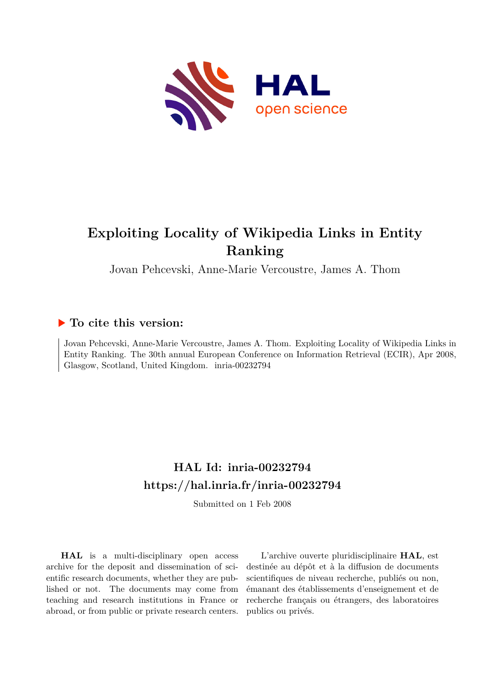

# **Exploiting Locality of Wikipedia Links in Entity Ranking**

Jovan Pehcevski, Anne-Marie Vercoustre, James A. Thom

# **To cite this version:**

Jovan Pehcevski, Anne-Marie Vercoustre, James A. Thom. Exploiting Locality of Wikipedia Links in Entity Ranking. The 30th annual European Conference on Information Retrieval (ECIR), Apr 2008, Glasgow, Scotland, United Kingdom. inria-00232794

# **HAL Id: inria-00232794 <https://hal.inria.fr/inria-00232794>**

Submitted on 1 Feb 2008

**HAL** is a multi-disciplinary open access archive for the deposit and dissemination of scientific research documents, whether they are published or not. The documents may come from teaching and research institutions in France or abroad, or from public or private research centers.

L'archive ouverte pluridisciplinaire **HAL**, est destinée au dépôt et à la diffusion de documents scientifiques de niveau recherche, publiés ou non, émanant des établissements d'enseignement et de recherche français ou étrangers, des laboratoires publics ou privés.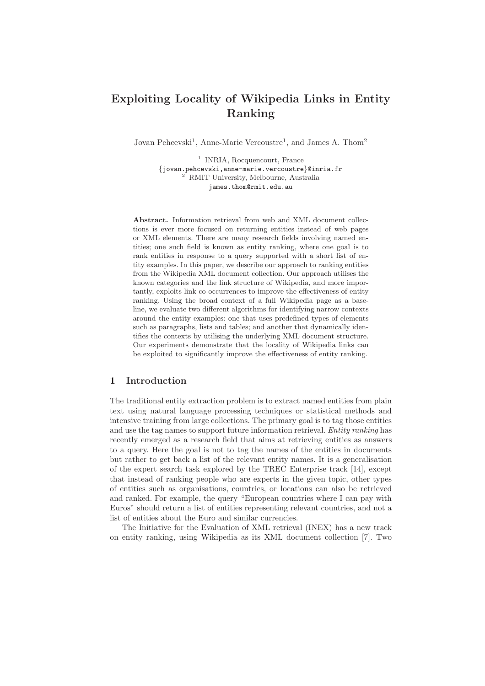# Exploiting Locality of Wikipedia Links in Entity Ranking

Jovan Pehcevski<sup>1</sup>, Anne-Marie Vercoustre<sup>1</sup>, and James A. Thom<sup>2</sup>

<sup>1</sup> INRIA, Rocquencourt, France {jovan.pehcevski,anne-marie.vercoustre}@inria.fr <sup>2</sup> RMIT University, Melbourne, Australia james.thom@rmit.edu.au

Abstract. Information retrieval from web and XML document collections is ever more focused on returning entities instead of web pages or XML elements. There are many research fields involving named entities; one such field is known as entity ranking, where one goal is to rank entities in response to a query supported with a short list of entity examples. In this paper, we describe our approach to ranking entities from the Wikipedia XML document collection. Our approach utilises the known categories and the link structure of Wikipedia, and more importantly, exploits link co-occurrences to improve the effectiveness of entity ranking. Using the broad context of a full Wikipedia page as a baseline, we evaluate two different algorithms for identifying narrow contexts around the entity examples: one that uses predefined types of elements such as paragraphs, lists and tables; and another that dynamically identifies the contexts by utilising the underlying XML document structure. Our experiments demonstrate that the locality of Wikipedia links can be exploited to significantly improve the effectiveness of entity ranking.

### 1 Introduction

The traditional entity extraction problem is to extract named entities from plain text using natural language processing techniques or statistical methods and intensive training from large collections. The primary goal is to tag those entities and use the tag names to support future information retrieval. Entity ranking has recently emerged as a research field that aims at retrieving entities as answers to a query. Here the goal is not to tag the names of the entities in documents but rather to get back a list of the relevant entity names. It is a generalisation of the expert search task explored by the TREC Enterprise track [14], except that instead of ranking people who are experts in the given topic, other types of entities such as organisations, countries, or locations can also be retrieved and ranked. For example, the query "European countries where I can pay with Euros" should return a list of entities representing relevant countries, and not a list of entities about the Euro and similar currencies.

The Initiative for the Evaluation of XML retrieval (INEX) has a new track on entity ranking, using Wikipedia as its XML document collection [7]. Two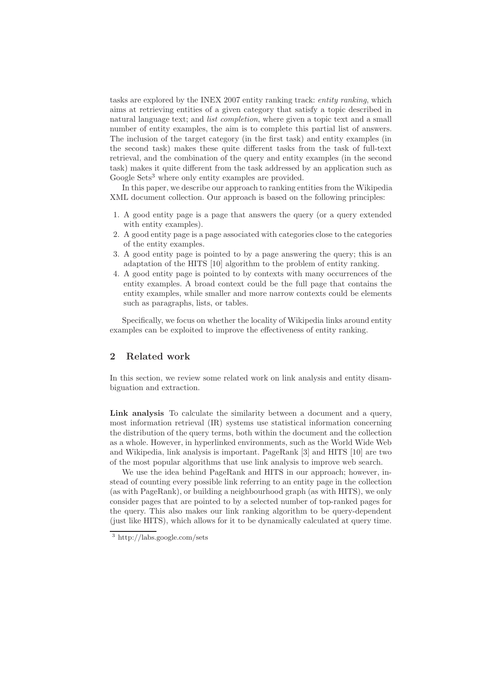tasks are explored by the INEX 2007 entity ranking track: entity ranking, which aims at retrieving entities of a given category that satisfy a topic described in natural language text; and *list completion*, where given a topic text and a small number of entity examples, the aim is to complete this partial list of answers. The inclusion of the target category (in the first task) and entity examples (in the second task) makes these quite different tasks from the task of full-text retrieval, and the combination of the query and entity examples (in the second task) makes it quite different from the task addressed by an application such as Google Sets<sup>3</sup> where only entity examples are provided.

In this paper, we describe our approach to ranking entities from the Wikipedia XML document collection. Our approach is based on the following principles:

- 1. A good entity page is a page that answers the query (or a query extended with entity examples).
- 2. A good entity page is a page associated with categories close to the categories of the entity examples.
- 3. A good entity page is pointed to by a page answering the query; this is an adaptation of the HITS [10] algorithm to the problem of entity ranking.
- 4. A good entity page is pointed to by contexts with many occurrences of the entity examples. A broad context could be the full page that contains the entity examples, while smaller and more narrow contexts could be elements such as paragraphs, lists, or tables.

Specifically, we focus on whether the locality of Wikipedia links around entity examples can be exploited to improve the effectiveness of entity ranking.

# 2 Related work

In this section, we review some related work on link analysis and entity disambiguation and extraction.

Link analysis To calculate the similarity between a document and a query, most information retrieval (IR) systems use statistical information concerning the distribution of the query terms, both within the document and the collection as a whole. However, in hyperlinked environments, such as the World Wide Web and Wikipedia, link analysis is important. PageRank [3] and HITS [10] are two of the most popular algorithms that use link analysis to improve web search.

We use the idea behind PageRank and HITS in our approach; however, instead of counting every possible link referring to an entity page in the collection (as with PageRank), or building a neighbourhood graph (as with HITS), we only consider pages that are pointed to by a selected number of top-ranked pages for the query. This also makes our link ranking algorithm to be query-dependent (just like HITS), which allows for it to be dynamically calculated at query time.

 $\frac{3 \text{ http://labs.google.com/sets}}{3}$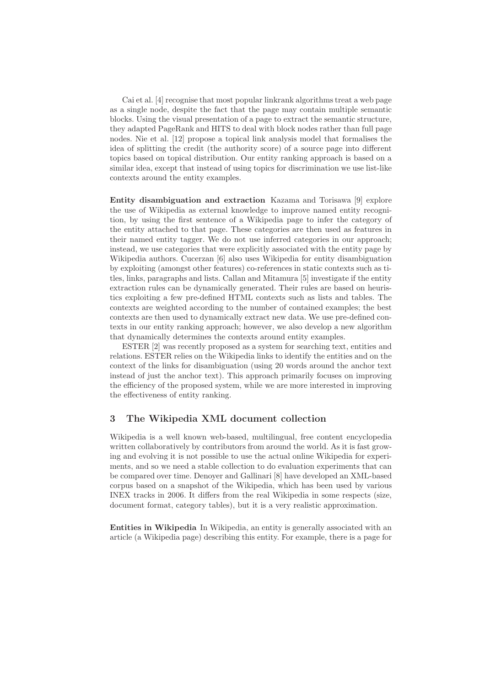Cai et al. [4] recognise that most popular linkrank algorithms treat a web page as a single node, despite the fact that the page may contain multiple semantic blocks. Using the visual presentation of a page to extract the semantic structure, they adapted PageRank and HITS to deal with block nodes rather than full page nodes. Nie et al. [12] propose a topical link analysis model that formalises the idea of splitting the credit (the authority score) of a source page into different topics based on topical distribution. Our entity ranking approach is based on a similar idea, except that instead of using topics for discrimination we use list-like contexts around the entity examples.

Entity disambiguation and extraction Kazama and Torisawa [9] explore the use of Wikipedia as external knowledge to improve named entity recognition, by using the first sentence of a Wikipedia page to infer the category of the entity attached to that page. These categories are then used as features in their named entity tagger. We do not use inferred categories in our approach; instead, we use categories that were explicitly associated with the entity page by Wikipedia authors. Cucerzan [6] also uses Wikipedia for entity disambiguation by exploiting (amongst other features) co-references in static contexts such as titles, links, paragraphs and lists. Callan and Mitamura [5] investigate if the entity extraction rules can be dynamically generated. Their rules are based on heuristics exploiting a few pre-defined HTML contexts such as lists and tables. The contexts are weighted according to the number of contained examples; the best contexts are then used to dynamically extract new data. We use pre-defined contexts in our entity ranking approach; however, we also develop a new algorithm that dynamically determines the contexts around entity examples.

ESTER [2] was recently proposed as a system for searching text, entities and relations. ESTER relies on the Wikipedia links to identify the entities and on the context of the links for disambiguation (using 20 words around the anchor text instead of just the anchor text). This approach primarily focuses on improving the efficiency of the proposed system, while we are more interested in improving the effectiveness of entity ranking.

## 3 The Wikipedia XML document collection

Wikipedia is a well known web-based, multilingual, free content encyclopedia written collaboratively by contributors from around the world. As it is fast growing and evolving it is not possible to use the actual online Wikipedia for experiments, and so we need a stable collection to do evaluation experiments that can be compared over time. Denoyer and Gallinari [8] have developed an XML-based corpus based on a snapshot of the Wikipedia, which has been used by various INEX tracks in 2006. It differs from the real Wikipedia in some respects (size, document format, category tables), but it is a very realistic approximation.

Entities in Wikipedia In Wikipedia, an entity is generally associated with an article (a Wikipedia page) describing this entity. For example, there is a page for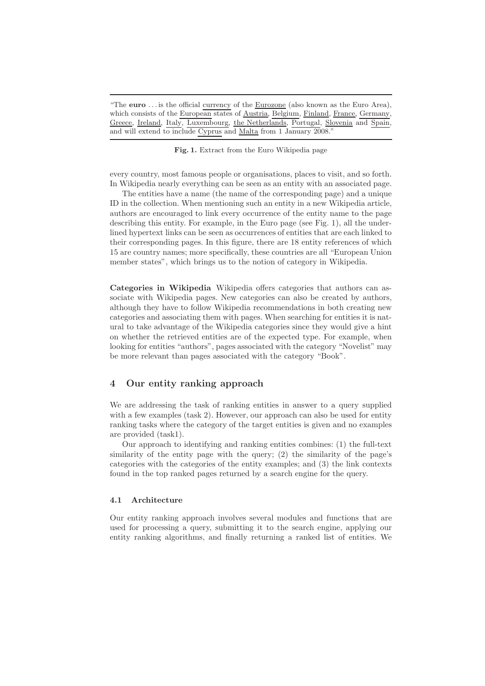"The euro ... is the official currency of the Eurozone (also known as the Euro Area), which consists of the European states of Austria, Belgium, Finland, France, Germany, Greece, Ireland, Italy, Luxembourg, the Netherlands, Portugal, Slovenia and Spain, and will extend to include Cyprus and Malta from 1 January 2008."

Fig. 1. Extract from the Euro Wikipedia page

every country, most famous people or organisations, places to visit, and so forth. In Wikipedia nearly everything can be seen as an entity with an associated page.

The entities have a name (the name of the corresponding page) and a unique ID in the collection. When mentioning such an entity in a new Wikipedia article, authors are encouraged to link every occurrence of the entity name to the page describing this entity. For example, in the Euro page (see Fig. 1), all the underlined hypertext links can be seen as occurrences of entities that are each linked to their corresponding pages. In this figure, there are 18 entity references of which 15 are country names; more specifically, these countries are all "European Union member states", which brings us to the notion of category in Wikipedia.

Categories in Wikipedia Wikipedia offers categories that authors can associate with Wikipedia pages. New categories can also be created by authors, although they have to follow Wikipedia recommendations in both creating new categories and associating them with pages. When searching for entities it is natural to take advantage of the Wikipedia categories since they would give a hint on whether the retrieved entities are of the expected type. For example, when looking for entities "authors", pages associated with the category "Novelist" may be more relevant than pages associated with the category "Book".

#### 4 Our entity ranking approach

We are addressing the task of ranking entities in answer to a query supplied with a few examples (task 2). However, our approach can also be used for entity ranking tasks where the category of the target entities is given and no examples are provided (task1).

Our approach to identifying and ranking entities combines: (1) the full-text similarity of the entity page with the query; (2) the similarity of the page's categories with the categories of the entity examples; and (3) the link contexts found in the top ranked pages returned by a search engine for the query.

#### 4.1 Architecture

Our entity ranking approach involves several modules and functions that are used for processing a query, submitting it to the search engine, applying our entity ranking algorithms, and finally returning a ranked list of entities. We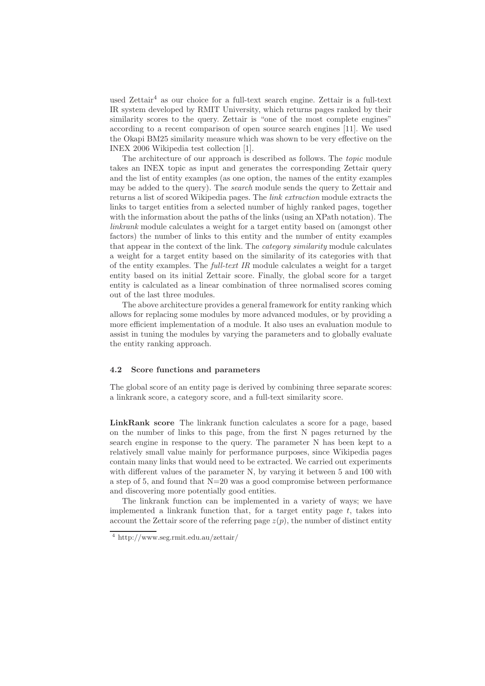used Zettair<sup>4</sup> as our choice for a full-text search engine. Zettair is a full-text IR system developed by RMIT University, which returns pages ranked by their similarity scores to the query. Zettair is "one of the most complete engines" according to a recent comparison of open source search engines [11]. We used the Okapi BM25 similarity measure which was shown to be very effective on the INEX 2006 Wikipedia test collection [1].

The architecture of our approach is described as follows. The topic module takes an INEX topic as input and generates the corresponding Zettair query and the list of entity examples (as one option, the names of the entity examples may be added to the query). The search module sends the query to Zettair and returns a list of scored Wikipedia pages. The link extraction module extracts the links to target entities from a selected number of highly ranked pages, together with the information about the paths of the links (using an XPath notation). The linkrank module calculates a weight for a target entity based on (amongst other factors) the number of links to this entity and the number of entity examples that appear in the context of the link. The *category similarity* module calculates a weight for a target entity based on the similarity of its categories with that of the entity examples. The full-text IR module calculates a weight for a target entity based on its initial Zettair score. Finally, the global score for a target entity is calculated as a linear combination of three normalised scores coming out of the last three modules.

The above architecture provides a general framework for entity ranking which allows for replacing some modules by more advanced modules, or by providing a more efficient implementation of a module. It also uses an evaluation module to assist in tuning the modules by varying the parameters and to globally evaluate the entity ranking approach.

#### 4.2 Score functions and parameters

The global score of an entity page is derived by combining three separate scores: a linkrank score, a category score, and a full-text similarity score.

LinkRank score The linkrank function calculates a score for a page, based on the number of links to this page, from the first N pages returned by the search engine in response to the query. The parameter N has been kept to a relatively small value mainly for performance purposes, since Wikipedia pages contain many links that would need to be extracted. We carried out experiments with different values of the parameter N, by varying it between 5 and 100 with a step of 5, and found that  $N=20$  was a good compromise between performance and discovering more potentially good entities.

The linkrank function can be implemented in a variety of ways; we have implemented a linkrank function that, for a target entity page  $t$ , takes into account the Zettair score of the referring page  $z(p)$ , the number of distinct entity

<sup>4</sup> http://www.seg.rmit.edu.au/zettair/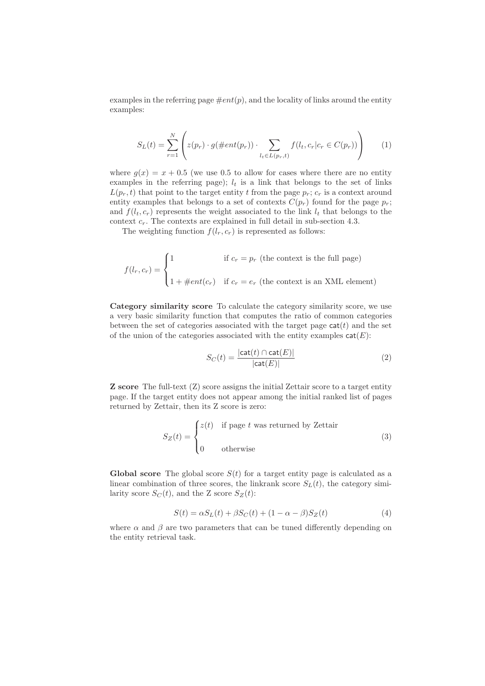examples in the referring page  $#ent(p)$ , and the locality of links around the entity examples:

$$
S_L(t) = \sum_{r=1}^{N} \left( z(p_r) \cdot g(\#ent(p_r)) \cdot \sum_{l_t \in L(p_r, t)} f(l_t, c_r | c_r \in C(p_r)) \right) \tag{1}
$$

where  $g(x) = x + 0.5$  (we use 0.5 to allow for cases where there are no entity examples in the referring page);  $l_t$  is a link that belongs to the set of links  $L(p_r, t)$  that point to the target entity t from the page  $p_r$ ;  $c_r$  is a context around entity examples that belongs to a set of contexts  $C(p_r)$  found for the page  $p_r$ ; and  $f(l_t, c_r)$  represents the weight associated to the link  $l_t$  that belongs to the context  $c_r$ . The contexts are explained in full detail in sub-section 4.3.

The weighting function  $f(l_r, c_r)$  is represented as follows:

$$
f(l_r, c_r) = \begin{cases} 1 & \text{if } c_r = p_r \text{ (the context is the full page)}\\ 1 + \#ent(c_r) & \text{if } c_r = e_r \text{ (the context is an XML element)} \end{cases}
$$

Category similarity score To calculate the category similarity score, we use a very basic similarity function that computes the ratio of common categories between the set of categories associated with the target page  $cat(t)$  and the set of the union of the categories associated with the entity examples  $cat(E)$ :

$$
S_C(t) = \frac{|\text{cat}(t) \cap \text{cat}(E)|}{|\text{cat}(E)|} \tag{2}
$$

Z score The full-text (Z) score assigns the initial Zettair score to a target entity page. If the target entity does not appear among the initial ranked list of pages returned by Zettair, then its Z score is zero:

$$
S_Z(t) = \begin{cases} z(t) & \text{if page } t \text{ was returned by Zettair} \\ 0 & \text{otherwise} \end{cases}
$$
 (3)

**Global score** The global score  $S(t)$  for a target entity page is calculated as a linear combination of three scores, the linkrank score  $S_L(t)$ , the category similarity score  $S_C(t)$ , and the Z score  $S_Z(t)$ :

$$
S(t) = \alpha S_L(t) + \beta S_C(t) + (1 - \alpha - \beta) S_Z(t)
$$
\n
$$
(4)
$$

where  $\alpha$  and  $\beta$  are two parameters that can be tuned differently depending on the entity retrieval task.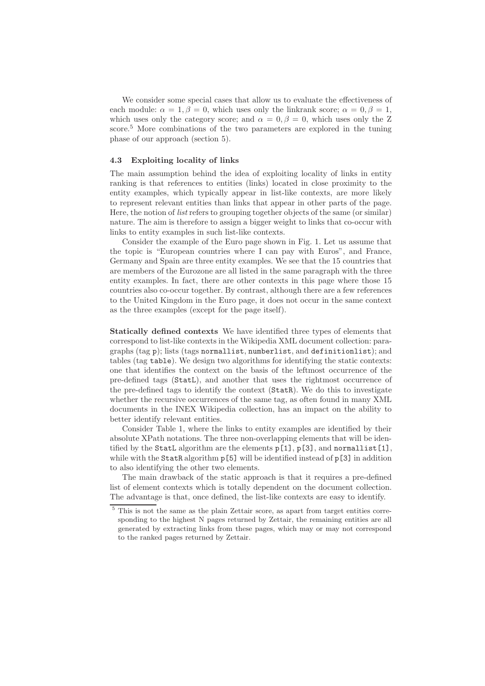We consider some special cases that allow us to evaluate the effectiveness of each module:  $\alpha = 1, \beta = 0$ , which uses only the linkrank score;  $\alpha = 0, \beta = 1$ , which uses only the category score; and  $\alpha = 0, \beta = 0$ , which uses only the Z score.<sup>5</sup> More combinations of the two parameters are explored in the tuning phase of our approach (section 5).

#### 4.3 Exploiting locality of links

The main assumption behind the idea of exploiting locality of links in entity ranking is that references to entities (links) located in close proximity to the entity examples, which typically appear in list-like contexts, are more likely to represent relevant entities than links that appear in other parts of the page. Here, the notion of list refers to grouping together objects of the same (or similar) nature. The aim is therefore to assign a bigger weight to links that co-occur with links to entity examples in such list-like contexts.

Consider the example of the Euro page shown in Fig. 1. Let us assume that the topic is "European countries where I can pay with Euros", and France, Germany and Spain are three entity examples. We see that the 15 countries that are members of the Eurozone are all listed in the same paragraph with the three entity examples. In fact, there are other contexts in this page where those 15 countries also co-occur together. By contrast, although there are a few references to the United Kingdom in the Euro page, it does not occur in the same context as the three examples (except for the page itself).

Statically defined contexts We have identified three types of elements that correspond to list-like contexts in the Wikipedia XML document collection: paragraphs (tag p); lists (tags normallist, numberlist, and definitionlist); and tables (tag table). We design two algorithms for identifying the static contexts: one that identifies the context on the basis of the leftmost occurrence of the pre-defined tags (StatL), and another that uses the rightmost occurrence of the pre-defined tags to identify the context (StatR). We do this to investigate whether the recursive occurrences of the same tag, as often found in many XML documents in the INEX Wikipedia collection, has an impact on the ability to better identify relevant entities.

Consider Table 1, where the links to entity examples are identified by their absolute XPath notations. The three non-overlapping elements that will be identified by the StatL algorithm are the elements  $p[1], p[3]$ , and normallist[1], while with the StatR algorithm  $p[5]$  will be identified instead of  $p[3]$  in addition to also identifying the other two elements.

The main drawback of the static approach is that it requires a pre-defined list of element contexts which is totally dependent on the document collection. The advantage is that, once defined, the list-like contexts are easy to identify.

<sup>5</sup> This is not the same as the plain Zettair score, as apart from target entities corresponding to the highest N pages returned by Zettair, the remaining entities are all generated by extracting links from these pages, which may or may not correspond to the ranked pages returned by Zettair.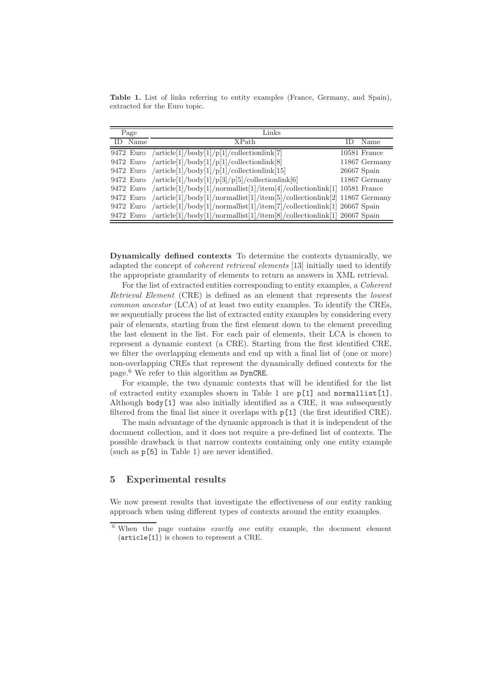Table 1. List of links referring to entity examples (France, Germany, and Spain), extracted for the Euro topic.

| Page |           | Links                                                                              |                |
|------|-----------|------------------------------------------------------------------------------------|----------------|
|      | ID Name   | XPath                                                                              | Name           |
|      |           | 9472 Euro /article[1]/body[1]/p[1]/collectionlink[7]                               | $10581$ France |
|      |           | 9472 Euro /article[1]/body[1]/p[1]/collectionlink[8]                               | 11867 Germany  |
|      |           | 9472 Euro /article[1]/body[1]/p[1]/collectionlink[15]                              | $26667$ Spain  |
|      |           | 9472 Euro /article[1]/body[1]/p[3]/p[5]/collectionlink[6]                          | 11867 Germany  |
|      |           | 9472 Euro /article[1]/body[1]/normallist[1]/item[4]/collectionlink[1] 10581 France |                |
|      | 9472 Euro | /article[1]/body[1]/normallist[1]/item[5]/collectionlink[2] 11867 Germany          |                |
|      |           | 9472 Euro /article[1]/body[1]/normallist[1]/item[7]/collectionlink[1] 26667 Spain  |                |
|      |           | 9472 Euro /article[1]/body[1]/normallist[1]/item[8]/collectionlink[1] 26667 Spain  |                |

Dynamically defined contexts To determine the contexts dynamically, we adapted the concept of coherent retrieval elements [13] initially used to identify the appropriate granularity of elements to return as answers in XML retrieval.

For the list of extracted entities corresponding to entity examples, a Coherent Retrieval Element (CRE) is defined as an element that represents the lowest common ancestor (LCA) of at least two entity examples. To identify the CREs, we sequentially process the list of extracted entity examples by considering every pair of elements, starting from the first element down to the element preceding the last element in the list. For each pair of elements, their LCA is chosen to represent a dynamic context (a CRE). Starting from the first identified CRE, we filter the overlapping elements and end up with a final list of (one or more) non-overlapping CREs that represent the dynamically defined contexts for the page.<sup>6</sup> We refer to this algorithm as DynCRE.

For example, the two dynamic contexts that will be identified for the list of extracted entity examples shown in Table 1 are p[1] and normallist[1]. Although body[1] was also initially identified as a CRE, it was subsequently filtered from the final list since it overlaps with p[1] (the first identified CRE).

The main advantage of the dynamic approach is that it is independent of the document collection, and it does not require a pre-defined list of contexts. The possible drawback is that narrow contexts containing only one entity example (such as p[5] in Table 1) are never identified.

## 5 Experimental results

We now present results that investigate the effectiveness of our entity ranking approach when using different types of contexts around the entity examples.

 $6$  When the page contains *exactly one* entity example, the document element (article[1]) is chosen to represent a CRE.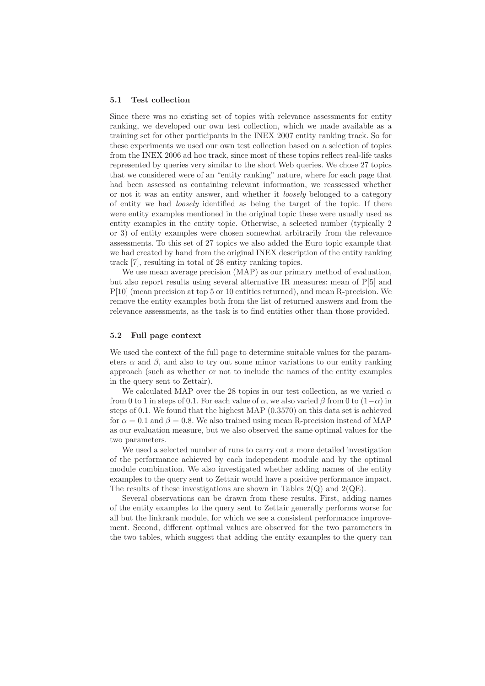#### 5.1 Test collection

Since there was no existing set of topics with relevance assessments for entity ranking, we developed our own test collection, which we made available as a training set for other participants in the INEX 2007 entity ranking track. So for these experiments we used our own test collection based on a selection of topics from the INEX 2006 ad hoc track, since most of these topics reflect real-life tasks represented by queries very similar to the short Web queries. We chose 27 topics that we considered were of an "entity ranking" nature, where for each page that had been assessed as containing relevant information, we reassessed whether or not it was an entity answer, and whether it loosely belonged to a category of entity we had loosely identified as being the target of the topic. If there were entity examples mentioned in the original topic these were usually used as entity examples in the entity topic. Otherwise, a selected number (typically 2 or 3) of entity examples were chosen somewhat arbitrarily from the relevance assessments. To this set of 27 topics we also added the Euro topic example that we had created by hand from the original INEX description of the entity ranking track [7], resulting in total of 28 entity ranking topics.

We use mean average precision (MAP) as our primary method of evaluation, but also report results using several alternative IR measures: mean of P[5] and P[10] (mean precision at top 5 or 10 entities returned), and mean R-precision. We remove the entity examples both from the list of returned answers and from the relevance assessments, as the task is to find entities other than those provided.

#### 5.2 Full page context

We used the context of the full page to determine suitable values for the parameters  $\alpha$  and  $\beta$ , and also to try out some minor variations to our entity ranking approach (such as whether or not to include the names of the entity examples in the query sent to Zettair).

We calculated MAP over the 28 topics in our test collection, as we varied  $\alpha$ from 0 to 1 in steps of 0.1. For each value of  $\alpha$ , we also varied  $\beta$  from 0 to  $(1-\alpha)$  in steps of 0.1. We found that the highest MAP (0.3570) on this data set is achieved for  $\alpha = 0.1$  and  $\beta = 0.8$ . We also trained using mean R-precision instead of MAP as our evaluation measure, but we also observed the same optimal values for the two parameters.

We used a selected number of runs to carry out a more detailed investigation of the performance achieved by each independent module and by the optimal module combination. We also investigated whether adding names of the entity examples to the query sent to Zettair would have a positive performance impact. The results of these investigations are shown in Tables  $2(Q)$  and  $2(QE)$ .

Several observations can be drawn from these results. First, adding names of the entity examples to the query sent to Zettair generally performs worse for all but the linkrank module, for which we see a consistent performance improvement. Second, different optimal values are observed for the two parameters in the two tables, which suggest that adding the entity examples to the query can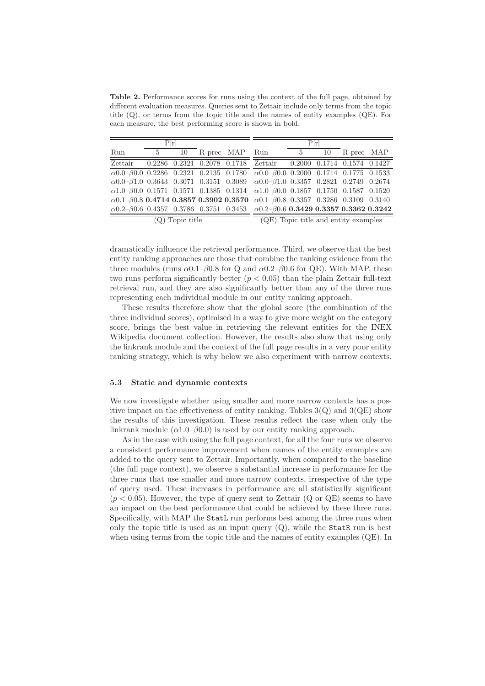Table 2. Performance scores for runs using the context of the full page, obtained by different evaluation measures. Queries sent to Zettair include only terms from the topic title  $(Q)$ , or terms from the topic title and the names of entity examples  $(QE)$ . For each measure, the best performing score is shown in bold.

| P r             |             |  |  | P r                                  |                                                                                                                    |   |  |               |  |
|-----------------|-------------|--|--|--------------------------------------|--------------------------------------------------------------------------------------------------------------------|---|--|---------------|--|
| Run             | $5^{\circ}$ |  |  | 10 R-prec MAP Run                    |                                                                                                                    | 5 |  | 10 R-prec MAP |  |
|                 |             |  |  |                                      | Zettair 0.2286 0.2321 0.2078 0.1718 Zettair 0.2000 0.1714 0.1574 0.1427                                            |   |  |               |  |
|                 |             |  |  |                                      | $\alpha$ 0.0- $\beta$ 0.0 0.2286 0.2321 0.2135 0.1780 $\alpha$ 0.0- $\beta$ 0.0 0.2000 0.1714 0.1775 0.1533        |   |  |               |  |
|                 |             |  |  |                                      | $\alpha$ 0.0- $\beta$ 1.0 0.3643 0.3071 0.3151 0.3089 $\alpha$ 0.0- $\beta$ 1.0 0.3357 0.2821 0.2749 0.2674        |   |  |               |  |
|                 |             |  |  |                                      | $\alpha$ 1.0- $\beta$ 0.0 0.1571 0.1571 0.1385 0.1314 $\alpha$ 1.0- $\beta$ 0.0 0.1857 0.1750 0.1587 0.1520        |   |  |               |  |
|                 |             |  |  |                                      | $\alpha$ 0.1- $\beta$ 0.8 <b>0.4714 0.3857 0.3902 0.3570</b> $\alpha$ 0.1- $\beta$ 0.8 0.3357 0.3286 0.3109 0.3140 |   |  |               |  |
|                 |             |  |  |                                      | $\alpha$ 0.2- $\beta$ 0.6 0.4357 0.3786 0.3751 0.3453 $\alpha$ 0.2- $\beta$ 0.6 0.3429 0.3357 0.3362 0.3242        |   |  |               |  |
| (Q) Topic title |             |  |  | (QE) Topic title and entity examples |                                                                                                                    |   |  |               |  |

dramatically influence the retrieval performance. Third, we observe that the best entity ranking approaches are those that combine the ranking evidence from the three modules (runs  $\alpha$ 0.1– $\beta$ 0.8 for Q and  $\alpha$ 0.2– $\beta$ 0.6 for QE). With MAP, these two runs perform significantly better  $(p < 0.05)$  than the plain Zettair full-text retrieval run, and they are also significantly better than any of the three runs representing each individual module in our entity ranking approach.

These results therefore show that the global score (the combination of the three individual scores), optimised in a way to give more weight on the category score, brings the best value in retrieving the relevant entities for the INEX Wikipedia document collection. However, the results also show that using only the linkrank module and the context of the full page results in a very poor entity ranking strategy, which is why below we also experiment with narrow contexts.

#### 5.3 Static and dynamic contexts

We now investigate whether using smaller and more narrow contexts has a positive impact on the effectiveness of entity ranking. Tables  $3(Q)$  and  $3(QE)$  show the results of this investigation. These results reflect the case when only the linkrank module  $(\alpha 1.0-\beta 0.0)$  is used by our entity ranking approach.

As in the case with using the full page context, for all the four runs we observe a consistent performance improvement when names of the entity examples are added to the query sent to Zettair. Importantly, when compared to the baseline (the full page context), we observe a substantial increase in performance for the three runs that use smaller and more narrow contexts, irrespective of the type of query used. These increases in performance are all statistically significant  $(p < 0.05)$ . However, the type of query sent to Zettair  $(Q \text{ or } QE)$  seems to have an impact on the best performance that could be achieved by these three runs. Specifically, with MAP the StatL run performs best among the three runs when only the topic title is used as an input query  $(Q)$ , while the StatR run is best when using terms from the topic title and the names of entity examples (QE). In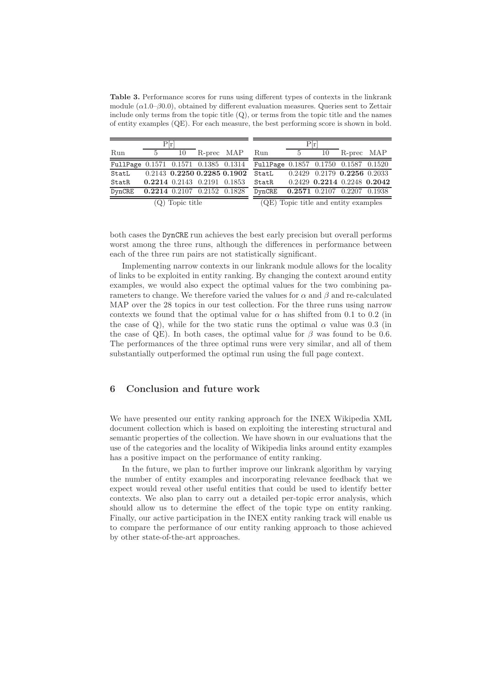Table 3. Performance scores for runs using different types of contexts in the linkrank module  $(\alpha 1.0-\beta 0.0)$ , obtained by different evaluation measures. Queries sent to Zettair include only terms from the topic title  $(Q)$ , or terms from the topic title and the names of entity examples (QE). For each measure, the best performing score is shown in bold.

| Рŀг                                  |                               |    |                             |                               | Рŀг                                  |   |                                     |            |                                     |
|--------------------------------------|-------------------------------|----|-----------------------------|-------------------------------|--------------------------------------|---|-------------------------------------|------------|-------------------------------------|
| Run                                  | 5                             | 10 | R-prec MAP                  |                               | Run                                  | 5 | 10                                  | R-prec MAP |                                     |
| FullPage 0.1571 0.1571 0.1385 0.1314 |                               |    |                             |                               | FullPage 0.1857 0.1750 0.1587 0.1520 |   |                                     |            |                                     |
| StatL                                |                               |    |                             | $0.2143$ 0.2250 0.2285 0.1902 | StatL                                |   | $0.2429$ $0.2179$ $0.2256$ $0.2033$ |            |                                     |
| StatR                                |                               |    | 0.2214 0.2143 0.2191 0.1853 |                               | StatR                                |   |                                     |            | $0.2429$ $0.2214$ $0.2248$ $0.2042$ |
| DynCRE                               | $0.2214$ 0.2107 0.2152 0.1828 |    |                             |                               | DynCRE                               |   | $0.2571$ $0.2107$ $0.2207$ $0.1938$ |            |                                     |
| (Q) Topic title                      |                               |    |                             |                               | (QE) Topic title and entity examples |   |                                     |            |                                     |

both cases the DynCRE run achieves the best early precision but overall performs worst among the three runs, although the differences in performance between each of the three run pairs are not statistically significant.

Implementing narrow contexts in our linkrank module allows for the locality of links to be exploited in entity ranking. By changing the context around entity examples, we would also expect the optimal values for the two combining parameters to change. We therefore varied the values for  $\alpha$  and  $\beta$  and re-calculated MAP over the 28 topics in our test collection. For the three runs using narrow contexts we found that the optimal value for  $\alpha$  has shifted from 0.1 to 0.2 (in the case of Q), while for the two static runs the optimal  $\alpha$  value was 0.3 (in the case of QE). In both cases, the optimal value for  $\beta$  was found to be 0.6. The performances of the three optimal runs were very similar, and all of them substantially outperformed the optimal run using the full page context.

# 6 Conclusion and future work

We have presented our entity ranking approach for the INEX Wikipedia XML document collection which is based on exploiting the interesting structural and semantic properties of the collection. We have shown in our evaluations that the use of the categories and the locality of Wikipedia links around entity examples has a positive impact on the performance of entity ranking.

In the future, we plan to further improve our linkrank algorithm by varying the number of entity examples and incorporating relevance feedback that we expect would reveal other useful entities that could be used to identify better contexts. We also plan to carry out a detailed per-topic error analysis, which should allow us to determine the effect of the topic type on entity ranking. Finally, our active participation in the INEX entity ranking track will enable us to compare the performance of our entity ranking approach to those achieved by other state-of-the-art approaches.